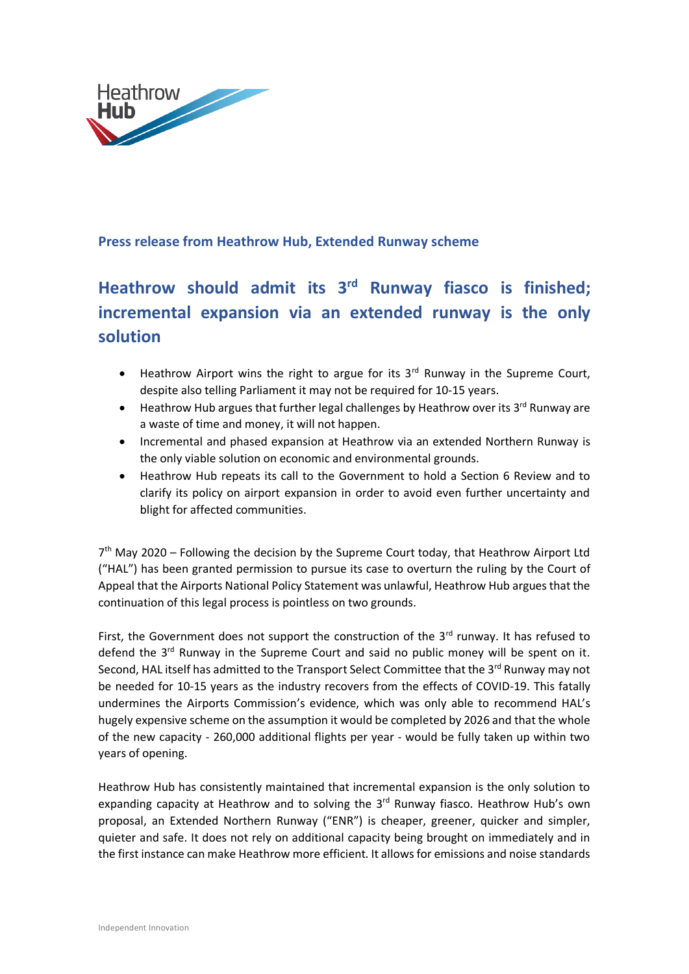

## **Press release from Heathrow Hub, Extended Runway scheme**

## **Heathrow should admit its 3 rd Runway fiasco is finished; incremental expansion via an extended runway is the only solution**

- Heathrow Airport wins the right to argue for its 3<sup>rd</sup> Runway in the Supreme Court, despite also telling Parliament it may not be required for 10-15 years.
- Heathrow Hub argues that further legal challenges by Heathrow over its 3<sup>rd</sup> Runway are a waste of time and money, it will not happen.
- Incremental and phased expansion at Heathrow via an extended Northern Runway is the only viable solution on economic and environmental grounds.
- Heathrow Hub repeats its call to the Government to hold a Section 6 Review and to clarify its policy on airport expansion in order to avoid even further uncertainty and blight for affected communities.

7<sup>th</sup> May 2020 - Following the decision by the Supreme Court today, that Heathrow Airport Ltd ("HAL") has been granted permission to pursue its case to overturn the ruling by the Court of Appeal that the Airports National Policy Statement was unlawful, Heathrow Hub argues that the continuation of this legal process is pointless on two grounds.

First, the Government does not support the construction of the  $3<sup>rd</sup>$  runway. It has refused to defend the 3<sup>rd</sup> Runway in the Supreme Court and said no public money will be spent on it. Second, HAL itself has admitted to the Transport Select Committee that the 3<sup>rd</sup> Runway may not be needed for 10-15 years as the industry recovers from the effects of COVID-19. This fatally undermines the Airports Commission's evidence, which was only able to recommend HAL's hugely expensive scheme on the assumption it would be completed by 2026 and that the whole of the new capacity - 260,000 additional flights per year - would be fully taken up within two years of opening.

Heathrow Hub has consistently maintained that incremental expansion is the only solution to expanding capacity at Heathrow and to solving the 3<sup>rd</sup> Runway fiasco. Heathrow Hub's own proposal, an Extended Northern Runway ("ENR") is cheaper, greener, quicker and simpler, quieter and safe. It does not rely on additional capacity being brought on immediately and in the first instance can make Heathrow more efficient. It allows for emissions and noise standards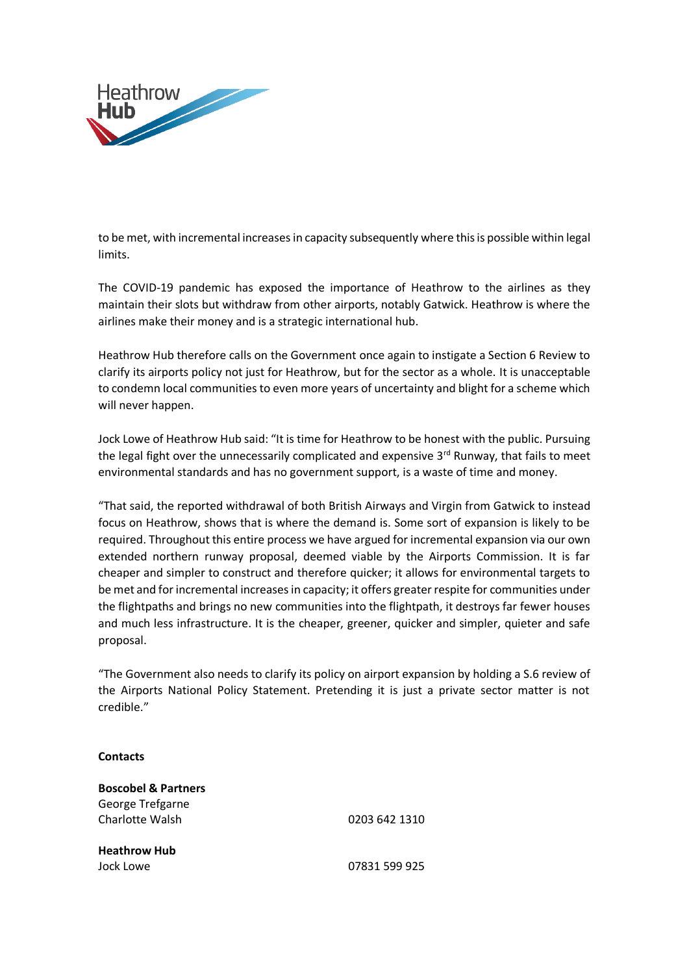

to be met, with incremental increases in capacity subsequently where this is possible within legal limits.

The COVID-19 pandemic has exposed the importance of Heathrow to the airlines as they maintain their slots but withdraw from other airports, notably Gatwick. Heathrow is where the airlines make their money and is a strategic international hub.

Heathrow Hub therefore calls on the Government once again to instigate a Section 6 Review to clarify its airports policy not just for Heathrow, but for the sector as a whole. It is unacceptable to condemn local communities to even more years of uncertainty and blight for a scheme which will never happen.

Jock Lowe of Heathrow Hub said: "It is time for Heathrow to be honest with the public. Pursuing the legal fight over the unnecessarily complicated and expensive  $3<sup>rd</sup>$  Runway, that fails to meet environmental standards and has no government support, is a waste of time and money.

"That said, the reported withdrawal of both British Airways and Virgin from Gatwick to instead focus on Heathrow, shows that is where the demand is. Some sort of expansion is likely to be required. Throughout this entire process we have argued for incremental expansion via our own extended northern runway proposal, deemed viable by the Airports Commission. It is far cheaper and simpler to construct and therefore quicker; it allows for environmental targets to be met and for incremental increases in capacity; it offers greater respite for communities under the flightpaths and brings no new communities into the flightpath, it destroys far fewer houses and much less infrastructure. It is the cheaper, greener, quicker and simpler, quieter and safe proposal.

"The Government also needs to clarify its policy on airport expansion by holding a S.6 review of the Airports National Policy Statement. Pretending it is just a private sector matter is not credible."

## **Contacts**

**Boscobel & Partners**  George Trefgarne Charlotte Walsh 0203 642 1310 **Heathrow Hub** Jock Lowe 07831 599 925